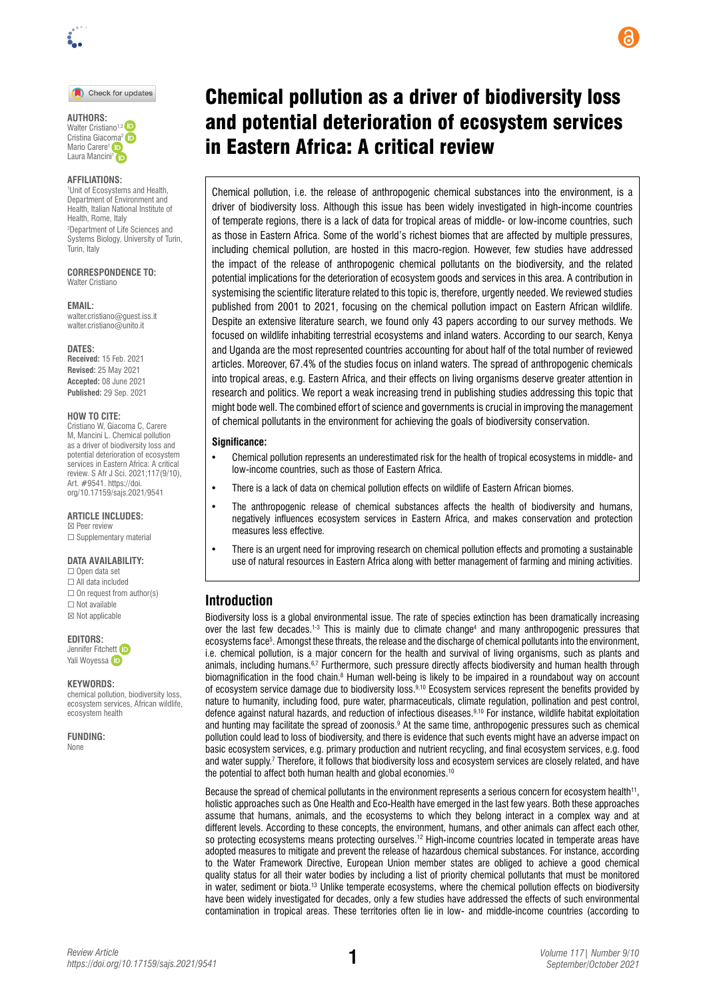

Check for updates

**AUTHORS:**  Walter Cristiano<sup>1,2</sup> Cristina Giac[oma](https://orcid.org/0000-0002-7611-9353)<sup>2</sup> Mario Carere<sup>1</sup> iD Laura Mancini<sup>1</sup> (ip

#### **AFFILIATIONS:**

1 Unit of Ecosystems and Health, Department of Environment and Health, Italian National Institute of Health, Rome, Italy 2 Department of Life Sciences and Systems Biology, University of Turin, Turin, Italy

**CORRESPONDENCE TO:**  Walter Cristiano

**EMAIL:**  [walter.cristiano@guest.iss.it](mailto:walter.cristiano@guest.iss.it) [walter.cristiano@unito.it](mailto:walter.cristiano@unito.it)

**DATES: Received:** 15 Feb. 2021 **Revised:** 25 May 2021 **Accepted:** 08 June 2021 **Published:** 29 Sep. 2021

#### **HOW TO CITE:**

Cristiano W, Giacoma C, Carere M, Mancini L. Chemical pollution as a driver of biodiversity loss and potential deterioration of ecosystem services in Eastern Africa: A critical review. S Afr J Sci. 2021;117(9/10), Art. #9541. [https://doi.](https://doi.org/10.17159/sajs.2021/9541) [org/10.17159/sajs.2021/9541](https://doi.org/10.17159/sajs.2021/9541)

**ARTICLE INCLUDES:** ☒ Peer review

□ Supplementary material

#### **DATA AVAILABILITY:**

☐ Open data set ☐ All data included  $\Box$  On request from author(s) ☐ Not available ☒ Not applicable

**EDITORS:** 

Jennifer Fitchet[t](https://orcid.org/0000-0002-0854-1720) **D** Yali Woyess[a](https://orcid.org/0000-0002-1128-7321) D

#### **KEYWORDS:**

chemical pollution, biodiversity loss, ecosystem services, African wildlife, ecosystem health

**FUNDING:**  None

# Chemical pollution as a driver of biodiversity loss and potential deterioration of ecosystem services in Eastern Africa: A critical review

Chemical pollution, i.e. the release of anthropogenic chemical substances into the environment, is a driver of biodiversity loss. Although this issue has been widely investigated in high-income countries of temperate regions, there is a lack of data for tropical areas of middle- or low-income countries, such as those in Eastern Africa. Some of the world's richest biomes that are affected by multiple pressures, including chemical pollution, are hosted in this macro-region. However, few studies have addressed the impact of the release of anthropogenic chemical pollutants on the biodiversity, and the related potential implications for the deterioration of ecosystem goods and services in this area. A contribution in systemising the scientific literature related to this topic is, therefore, urgently needed. We reviewed studies published from 2001 to 2021, focusing on the chemical pollution impact on Eastern African wildlife. Despite an extensive literature search, we found only 43 papers according to our survey methods. We focused on wildlife inhabiting terrestrial ecosystems and inland waters. According to our search, Kenya and Uganda are the most represented countries accounting for about half of the total number of reviewed articles. Moreover, 67.4% of the studies focus on inland waters. The spread of anthropogenic chemicals into tropical areas, e.g. Eastern Africa, and their effects on living organisms deserve greater attention in research and politics. We report a weak increasing trend in publishing studies addressing this topic that might bode well. The combined effort of science and governments is crucial in improving the management of chemical pollutants in the environment for achieving the goals of biodiversity conservation.

#### **Significance:**

- Chemical pollution represents an underestimated risk for the health of tropical ecosystems in middle- and low-income countries, such as those of Eastern Africa.
- There is a lack of data on chemical pollution effects on wildlife of Eastern African biomes.
- The anthropogenic release of chemical substances affects the health of biodiversity and humans, negatively influences ecosystem services in Eastern Africa, and makes conservation and protection measures less effective.
- There is an urgent need for improving research on chemical pollution effects and promoting a sustainable use of natural resources in Eastern Africa along with better management of farming and mining activities.

## **Introduction**

Biodiversity loss is a global environmental issue. The rate of species extinction has been dramatically increasing over the last few decades.<sup>1-3</sup> This is mainly due to climate change<sup>4</sup> and many anthropogenic pressures that ecosystems face5 . Amongst these threats, the release and the discharge of chemical pollutants into the environment, i.e. chemical pollution, is a major concern for the health and survival of living organisms, such as plants and animals, including humans.<sup>6,7</sup> Furthermore, such pressure directly affects biodiversity and human health through biomagnification in the food chain.<sup>8</sup> Human well-being is likely to be impaired in a roundabout way on account of ecosystem service damage due to biodiversity loss.9,10 Ecosystem services represent the benefits provided by nature to humanity, including food, pure water, pharmaceuticals, climate regulation, pollination and pest control, defence against natural hazards, and reduction of infectious diseases.9,10 For instance, wildlife habitat exploitation and hunting may facilitate the spread of zoonosis.<sup>9</sup> At the same time, anthropogenic pressures such as chemical pollution could lead to loss of biodiversity, and there is evidence that such events might have an adverse impact on basic ecosystem services, e.g. primary production and nutrient recycling, and final ecosystem services, e.g. food and water supply.7 Therefore, it follows that biodiversity loss and ecosystem services are closely related, and have the potential to affect both human health and global economies.<sup>10</sup>

Because the spread of chemical pollutants in the environment represents a serious concern for ecosystem health<sup>11</sup>, holistic approaches such as One Health and Eco-Health have emerged in the last few years. Both these approaches assume that humans, animals, and the ecosystems to which they belong interact in a complex way and at different levels. According to these concepts, the environment, humans, and other animals can affect each other, so protecting ecosystems means protecting ourselves.<sup>12</sup> High-income countries located in temperate areas have adopted measures to mitigate and prevent the release of hazardous chemical substances. For instance, according to the Water Framework Directive, European Union member states are obliged to achieve a good chemical quality status for all their water bodies by including a list of priority chemical pollutants that must be monitored in water, sediment or biota.<sup>13</sup> Unlike temperate ecosystems, where the chemical pollution effects on biodiversity have been widely investigated for decades, only a few studies have addressed the effects of such environmental contamination in tropical areas. These territories often lie in low- and middle-income countries (according to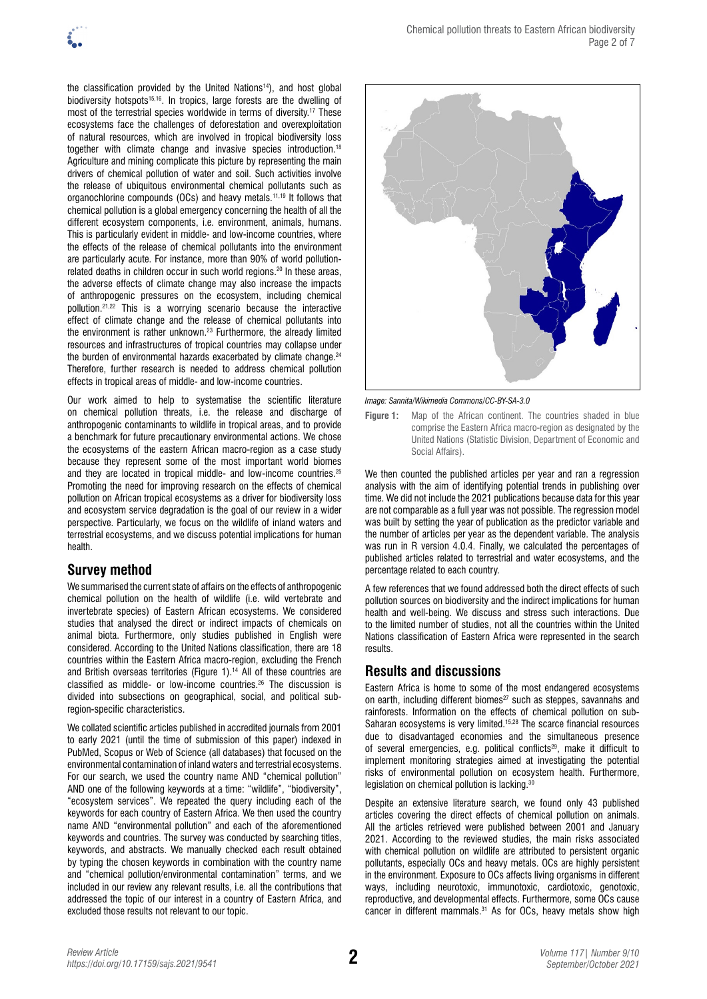the classification provided by the United Nations<sup>14</sup>), and host global biodiversity hotspots<sup>15,16</sup>. In tropics, large forests are the dwelling of most of the terrestrial species worldwide in terms of diversity.17 These ecosystems face the challenges of deforestation and overexploitation of natural resources, which are involved in tropical biodiversity loss together with climate change and invasive species introduction.18 Agriculture and mining complicate this picture by representing the main drivers of chemical pollution of water and soil. Such activities involve the release of ubiquitous environmental chemical pollutants such as organochlorine compounds (OCs) and heavy metals.<sup>11,19</sup> It follows that chemical pollution is a global emergency concerning the health of all the different ecosystem components, i.e. environment, animals, humans. This is particularly evident in middle- and low-income countries, where the effects of the release of chemical pollutants into the environment are particularly acute. For instance, more than 90% of world pollutionrelated deaths in children occur in such world regions.20 In these areas, the adverse effects of climate change may also increase the impacts of anthropogenic pressures on the ecosystem, including chemical pollution.21,22 This is a worrying scenario because the interactive effect of climate change and the release of chemical pollutants into the environment is rather unknown.23 Furthermore, the already limited resources and infrastructures of tropical countries may collapse under the burden of environmental hazards exacerbated by climate change.<sup>24</sup> Therefore, further research is needed to address chemical pollution effects in tropical areas of middle- and low-income countries.

Our work aimed to help to systematise the scientific literature on chemical pollution threats, i.e. the release and discharge of anthropogenic contaminants to wildlife in tropical areas, and to provide a benchmark for future precautionary environmental actions. We chose the ecosystems of the eastern African macro-region as a case study because they represent some of the most important world biomes and they are located in tropical middle- and low-income countries.25 Promoting the need for improving research on the effects of chemical pollution on African tropical ecosystems as a driver for biodiversity loss and ecosystem service degradation is the goal of our review in a wider perspective. Particularly, we focus on the wildlife of inland waters and terrestrial ecosystems, and we discuss potential implications for human health.

# **Survey method**

We summarised the current state of affairs on the effects of anthropogenic chemical pollution on the health of wildlife (i.e. wild vertebrate and invertebrate species) of Eastern African ecosystems. We considered studies that analysed the direct or indirect impacts of chemicals on animal biota. Furthermore, only studies published in English were considered. According to the United Nations classification, there are 18 countries within the Eastern Africa macro-region, excluding the French and British overseas territories (Figure 1).<sup>14</sup> All of these countries are classified as middle- or low-income countries.26 The discussion is divided into subsections on geographical, social, and political subregion-specific characteristics.

We collated scientific articles published in accredited journals from 2001 to early 2021 (until the time of submission of this paper) indexed in PubMed, Scopus or Web of Science (all databases) that focused on the environmental contamination of inland waters and terrestrial ecosystems. For our search, we used the country name AND "chemical pollution" AND one of the following keywords at a time: "wildlife", "biodiversity", "ecosystem services". We repeated the query including each of the keywords for each country of Eastern Africa. We then used the country name AND "environmental pollution" and each of the aforementioned keywords and countries. The survey was conducted by searching titles, keywords, and abstracts. We manually checked each result obtained by typing the chosen keywords in combination with the country name and "chemical pollution/environmental contamination" terms, and we included in our review any relevant results, i.e. all the contributions that addressed the topic of our interest in a country of Eastern Africa, and excluded those results not relevant to our topic.



*Image: Sannita/Wikimedia Commons/[CC-BY-SA-3.0](https://creativecommons.org/licenses/by-sa/3.0/)*

**Figure 1:** Map of the African continent. The countries shaded in blue comprise the Eastern Africa macro-region as designated by the United Nations (Statistic Division, Department of Economic and Social Affairs).

We then counted the published articles per year and ran a regression analysis with the aim of identifying potential trends in publishing over time. We did not include the 2021 publications because data for this year are not comparable as a full year was not possible. The regression model was built by setting the year of publication as the predictor variable and the number of articles per year as the dependent variable. The analysis was run in R version 4.0.4. Finally, we calculated the percentages of published articles related to terrestrial and water ecosystems, and the percentage related to each country.

A few references that we found addressed both the direct effects of such pollution sources on biodiversity and the indirect implications for human health and well-being. We discuss and stress such interactions. Due to the limited number of studies, not all the countries within the United Nations classification of Eastern Africa were represented in the search results.

# **Results and discussions**

Eastern Africa is home to some of the most endangered ecosystems on earth, including different biomes<sup>27</sup> such as steppes, savannahs and rainforests. Information on the effects of chemical pollution on sub-Saharan ecosystems is very limited.15,28 The scarce financial resources due to disadvantaged economies and the simultaneous presence of several emergencies, e.g. political conflicts<sup>29</sup>, make it difficult to implement monitoring strategies aimed at investigating the potential risks of environmental pollution on ecosystem health. Furthermore, legislation on chemical pollution is lacking.<sup>30</sup>

Despite an extensive literature search, we found only 43 published articles covering the direct effects of chemical pollution on animals. All the articles retrieved were published between 2001 and January 2021. According to the reviewed studies, the main risks associated with chemical pollution on wildlife are attributed to persistent organic pollutants, especially OCs and heavy metals. OCs are highly persistent in the environment. Exposure to OCs affects living organisms in different ways, including neurotoxic, immunotoxic, cardiotoxic, genotoxic, reproductive, and developmental effects. Furthermore, some OCs cause cancer in different mammals.<sup>31</sup> As for OCs, heavy metals show high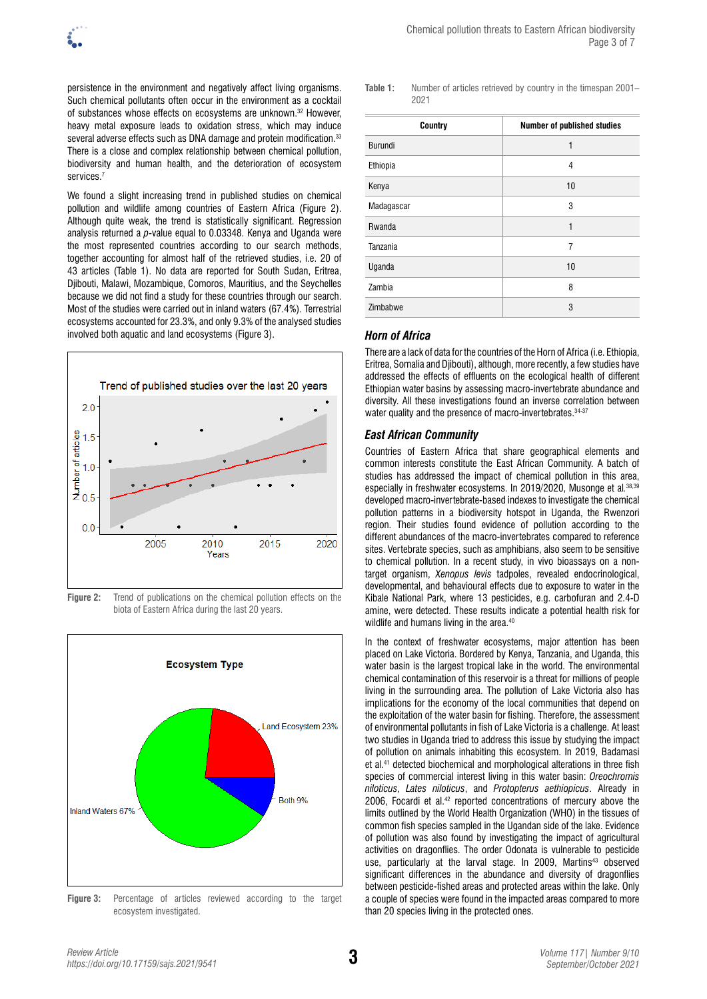persistence in the environment and negatively affect living organisms. Such chemical pollutants often occur in the environment as a cocktail of substances whose effects on ecosystems are unknown.<sup>32</sup> However, heavy metal exposure leads to oxidation stress, which may induce several adverse effects such as DNA damage and protein modification.<sup>33</sup> There is a close and complex relationship between chemical pollution, biodiversity and human health, and the deterioration of ecosystem services.<sup>7</sup>

We found a slight increasing trend in published studies on chemical pollution and wildlife among countries of Eastern Africa (Figure 2). Although quite weak, the trend is statistically significant. Regression analysis returned a *p*-value equal to 0.03348. Kenya and Uganda were the most represented countries according to our search methods, together accounting for almost half of the retrieved studies, i.e. 20 of 43 articles (Table 1). No data are reported for South Sudan, Eritrea, Djibouti, Malawi, Mozambique, Comoros, Mauritius, and the Seychelles because we did not find a study for these countries through our search. Most of the studies were carried out in inland waters (67.4%). Terrestrial ecosystems accounted for 23.3%, and only 9.3% of the analysed studies involved both aquatic and land ecosystems (Figure 3).



**Figure 2:** Trend of publications on the chemical pollution effects on the biota of Eastern Africa during the last 20 years.



**Figure 3:** Percentage of articles reviewed according to the target ecosystem investigated.

**Table 1:** Number of articles retrieved by country in the timespan 2001– 2021

| Country    | Number of published studies |
|------------|-----------------------------|
| Burundi    | 1                           |
| Ethiopia   | 4                           |
| Kenya      | 10                          |
| Madagascar | 3                           |
| Rwanda     | 1                           |
| Tanzania   | 7                           |
| Uganda     | 10                          |
| Zambia     | 8                           |
| Zimbabwe   | 3                           |

## *Horn of Africa*

There are a lack of data for the countries of the Horn of Africa (i.e. Ethiopia, Eritrea, Somalia and Djibouti), although, more recently, a few studies have addressed the effects of effluents on the ecological health of different Ethiopian water basins by assessing macro-invertebrate abundance and diversity. All these investigations found an inverse correlation between water quality and the presence of macro-invertebrates. 34-37

#### *East African Community*

Countries of Eastern Africa that share geographical elements and common interests constitute the East African Community. A batch of studies has addressed the impact of chemical pollution in this area, especially in freshwater ecosystems. In 2019/2020, Musonge et al*.* 38,39 developed macro-invertebrate-based indexes to investigate the chemical pollution patterns in a biodiversity hotspot in Uganda, the Rwenzori region. Their studies found evidence of pollution according to the different abundances of the macro-invertebrates compared to reference sites. Vertebrate species, such as amphibians, also seem to be sensitive to chemical pollution. In a recent study, in vivo bioassays on a nontarget organism, *Xenopus levis* tadpoles, revealed endocrinological, developmental, and behavioural effects due to exposure to water in the Kibale National Park, where 13 pesticides, e.g. carbofuran and 2.4-D amine, were detected. These results indicate a potential health risk for wildlife and humans living in the area.<sup>40</sup>

In the context of freshwater ecosystems, major attention has been placed on Lake Victoria. Bordered by Kenya, Tanzania, and Uganda, this water basin is the largest tropical lake in the world. The environmental chemical contamination of this reservoir is a threat for millions of people living in the surrounding area. The pollution of Lake Victoria also has implications for the economy of the local communities that depend on the exploitation of the water basin for fishing. Therefore, the assessment of environmental pollutants in fish of Lake Victoria is a challenge. At least two studies in Uganda tried to address this issue by studying the impact of pollution on animals inhabiting this ecosystem. In 2019, Badamasi et al.41 detected biochemical and morphological alterations in three fish species of commercial interest living in this water basin: *Oreochromis niloticus*, *Lates niloticus*, and *Protopterus aethiopicus*. Already in 2006, Focardi et al.42 reported concentrations of mercury above the limits outlined by the World Health Organization (WHO) in the tissues of common fish species sampled in the Ugandan side of the lake. Evidence of pollution was also found by investigating the impact of agricultural activities on dragonflies. The order Odonata is vulnerable to pesticide use, particularly at the larval stage. In 2009, Martins<sup>43</sup> observed significant differences in the abundance and diversity of dragonflies between pesticide-fished areas and protected areas within the lake. Only a couple of species were found in the impacted areas compared to more than 20 species living in the protected ones.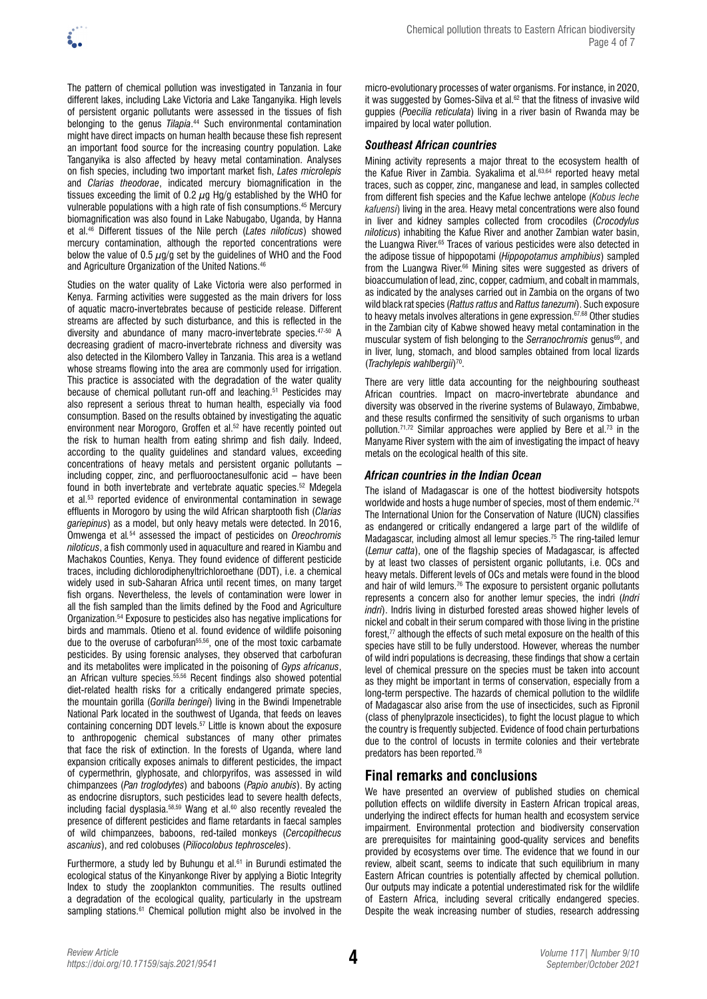

The pattern of chemical pollution was investigated in Tanzania in four different lakes, including Lake Victoria and Lake Tanganyika. High levels of persistent organic pollutants were assessed in the tissues of fish belonging to the genus *Tilapia*. 44 Such environmental contamination might have direct impacts on human health because these fish represent an important food source for the increasing country population. Lake Tanganyika is also affected by heavy metal contamination. Analyses on fish species, including two important market fish, *Lates microlepis* and *Clarias theodorae*, indicated mercury biomagnification in the tissues exceeding the limit of 0.2  $\mu$ g Hg/g established by the WHO for vulnerable populations with a high rate of fish consumptions.45 Mercury biomagnification was also found in Lake Nabugabo, Uganda, by Hanna et al.46 Different tissues of the Nile perch (*Lates niloticus*) showed mercury contamination, although the reported concentrations were below the value of 0.5  $\mu$ g/g set by the guidelines of WHO and the Food and Agriculture Organization of the United Nations.<sup>46</sup>

Studies on the water quality of Lake Victoria were also performed in Kenya. Farming activities were suggested as the main drivers for loss of aquatic macro-invertebrates because of pesticide release. Different streams are affected by such disturbance, and this is reflected in the diversity and abundance of many macro-invertebrate species.47-50 A decreasing gradient of macro-invertebrate richness and diversity was also detected in the Kilombero Valley in Tanzania. This area is a wetland whose streams flowing into the area are commonly used for irrigation. This practice is associated with the degradation of the water quality because of chemical pollutant run-off and leaching.<sup>51</sup> Pesticides may also represent a serious threat to human health, especially via food consumption. Based on the results obtained by investigating the aquatic environment near Morogoro, Groffen et al.<sup>52</sup> have recently pointed out the risk to human health from eating shrimp and fish daily. Indeed, according to the quality guidelines and standard values, exceeding concentrations of heavy metals and persistent organic pollutants – including copper, zinc, and perfluorooctanesulfonic acid – have been found in both invertebrate and vertebrate aquatic species.52 Mdegela et al.53 reported evidence of environmental contamination in sewage effluents in Morogoro by using the wild African sharptooth fish (*Clarias gariepinus*) as a model, but only heavy metals were detected. In 2016, Omwenga et al*.* 54 assessed the impact of pesticides on *Oreochromis niloticus*, a fish commonly used in aquaculture and reared in Kiambu and Machakos Counties, Kenya. They found evidence of different pesticide traces, including dichlorodiphenyltrichloroethane (DDT), i.e. a chemical widely used in sub-Saharan Africa until recent times, on many target fish organs. Nevertheless, the levels of contamination were lower in all the fish sampled than the limits defined by the Food and Agriculture Organization.54 Exposure to pesticides also has negative implications for birds and mammals. Otieno et al. found evidence of wildlife poisoning due to the overuse of carbofuran<sup>55,56</sup>, one of the most toxic carbamate pesticides. By using forensic analyses, they observed that carbofuran and its metabolites were implicated in the poisoning of *Gyps africanus*, an African vulture species.55,56 Recent findings also showed potential diet-related health risks for a critically endangered primate species, the mountain gorilla (*Gorilla beringei*) living in the Bwindi Impenetrable National Park located in the southwest of Uganda, that feeds on leaves containing concerning DDT levels.57 Little is known about the exposure to anthropogenic chemical substances of many other primates that face the risk of extinction. In the forests of Uganda, where land expansion critically exposes animals to different pesticides, the impact of cypermethrin, glyphosate, and chlorpyrifos, was assessed in wild chimpanzees (*Pan troglodytes*) and baboons (*Papio anubis*). By acting as endocrine disruptors, such pesticides lead to severe health defects, including facial dysplasia.<sup>58,59</sup> Wang et al.<sup>60</sup> also recently revealed the presence of different pesticides and flame retardants in faecal samples of wild chimpanzees, baboons, red-tailed monkeys (*Cercopithecus ascanius*), and red colobuses (*Piliocolobus tephrosceles*).

Furthermore, a study led by Buhungu et al.<sup>61</sup> in Burundi estimated the ecological status of the Kinyankonge River by applying a Biotic Integrity Index to study the zooplankton communities. The results outlined a degradation of the ecological quality, particularly in the upstream sampling stations.<sup>61</sup> Chemical pollution might also be involved in the

micro-evolutionary processes of water organisms. For instance, in 2020, it was suggested by Gomes-Silva et al.<sup>62</sup> that the fitness of invasive wild guppies (*Poecilia reticulata*) living in a river basin of Rwanda may be impaired by local water pollution.

## *Southeast African countries*

Mining activity represents a major threat to the ecosystem health of the Kafue River in Zambia. Syakalima et al.63,64 reported heavy metal traces, such as copper, zinc, manganese and lead, in samples collected from different fish species and the Kafue lechwe antelope (*Kobus leche kafuensi*) living in the area. Heavy metal concentrations were also found in liver and kidney samples collected from crocodiles (*Crocodylus niloticus*) inhabiting the Kafue River and another Zambian water basin, the Luangwa River.<sup>65</sup> Traces of various pesticides were also detected in the adipose tissue of hippopotami (*Hippopotamus amphibius*) sampled from the Luangwa River.<sup>66</sup> Mining sites were suggested as drivers of bioaccumulation of lead, zinc, copper, cadmium, and cobalt in mammals, as indicated by the analyses carried out in Zambia on the organs of two wild black rat species (*Rattus rattus* and *Rattus tanezumi*). Such exposure to heavy metals involves alterations in gene expression.<sup>67,68</sup> Other studies in the Zambian city of Kabwe showed heavy metal contamination in the muscular system of fish belonging to the *Serranochromis* genus<sup>69</sup>, and in liver, lung, stomach, and blood samples obtained from local lizards (*Trachylepis wahlbergii*) 70.

There are very little data accounting for the neighbouring southeast African countries. Impact on macro-invertebrate abundance and diversity was observed in the riverine systems of Bulawayo, Zimbabwe, and these results confirmed the sensitivity of such organisms to urban pollution.71,72 Similar approaches were applied by Bere et al.73 in the Manyame River system with the aim of investigating the impact of heavy metals on the ecological health of this site.

## *African countries in the Indian Ocean*

The island of Madagascar is one of the hottest biodiversity hotspots worldwide and hosts a huge number of species, most of them endemic.<sup>74</sup> The International Union for the Conservation of Nature (IUCN) classifies as endangered or critically endangered a large part of the wildlife of Madagascar, including almost all lemur species.<sup>75</sup> The ring-tailed lemur (*Lemur catta*), one of the flagship species of Madagascar, is affected by at least two classes of persistent organic pollutants, i.e. OCs and heavy metals. Different levels of OCs and metals were found in the blood and hair of wild lemurs.<sup>76</sup> The exposure to persistent organic pollutants represents a concern also for another lemur species, the indri (*Indri indri*). Indris living in disturbed forested areas showed higher levels of nickel and cobalt in their serum compared with those living in the pristine forest,<sup>77</sup> although the effects of such metal exposure on the health of this species have still to be fully understood. However, whereas the number of wild indri populations is decreasing, these findings that show a certain level of chemical pressure on the species must be taken into account as they might be important in terms of conservation, especially from a long-term perspective. The hazards of chemical pollution to the wildlife of Madagascar also arise from the use of insecticides, such as Fipronil (class of phenylprazole insecticides), to fight the locust plague to which the country is frequently subjected. Evidence of food chain perturbations due to the control of locusts in termite colonies and their vertebrate predators has been reported.78

# **Final remarks and conclusions**

We have presented an overview of published studies on chemical pollution effects on wildlife diversity in Eastern African tropical areas, underlying the indirect effects for human health and ecosystem service impairment. Environmental protection and biodiversity conservation are prerequisites for maintaining good-quality services and benefits provided by ecosystems over time. The evidence that we found in our review, albeit scant, seems to indicate that such equilibrium in many Eastern African countries is potentially affected by chemical pollution. Our outputs may indicate a potential underestimated risk for the wildlife of Eastern Africa, including several critically endangered species. Despite the weak increasing number of studies, research addressing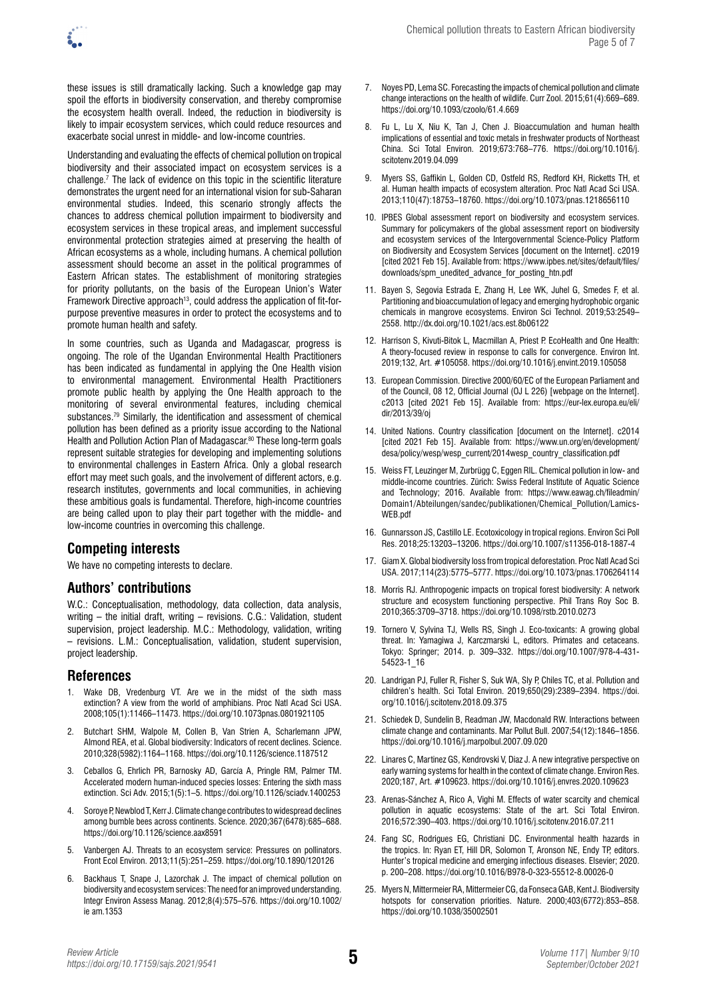these issues is still dramatically lacking. Such a knowledge gap may spoil the efforts in biodiversity conservation, and thereby compromise the ecosystem health overall. Indeed, the reduction in biodiversity is likely to impair ecosystem services, which could reduce resources and exacerbate social unrest in middle- and low-income countries.

Understanding and evaluating the effects of chemical pollution on tropical biodiversity and their associated impact on ecosystem services is a challenge.7 The lack of evidence on this topic in the scientific literature demonstrates the urgent need for an international vision for sub-Saharan environmental studies. Indeed, this scenario strongly affects the chances to address chemical pollution impairment to biodiversity and ecosystem services in these tropical areas, and implement successful environmental protection strategies aimed at preserving the health of African ecosystems as a whole, including humans. A chemical pollution assessment should become an asset in the political programmes of Eastern African states. The establishment of monitoring strategies for priority pollutants, on the basis of the European Union's Water Framework Directive approach<sup>13</sup>, could address the application of fit-forpurpose preventive measures in order to protect the ecosystems and to promote human health and safety.

In some countries, such as Uganda and Madagascar, progress is ongoing. The role of the Ugandan Environmental Health Practitioners has been indicated as fundamental in applying the One Health vision to environmental management. Environmental Health Practitioners promote public health by applying the One Health approach to the monitoring of several environmental features, including chemical substances.79 Similarly, the identification and assessment of chemical pollution has been defined as a priority issue according to the National Health and Pollution Action Plan of Madagascar.<sup>80</sup> These long-term goals represent suitable strategies for developing and implementing solutions to environmental challenges in Eastern Africa. Only a global research effort may meet such goals, and the involvement of different actors, e.g. research institutes, governments and local communities, in achieving these ambitious goals is fundamental. Therefore, high-income countries are being called upon to play their part together with the middle- and low-income countries in overcoming this challenge.

# **Competing interests**

We have no competing interests to declare.

## **Authors' contributions**

W.C.: Conceptualisation, methodology, data collection, data analysis, writing – the initial draft, writing – revisions. C.G.: Validation, student supervision, project leadership. M.C.: Methodology, validation, writing – revisions. L.M.: Conceptualisation, validation, student supervision, project leadership.

## **References**

- Wake DB, Vredenburg VT. Are we in the midst of the sixth mass extinction? A view from the world of amphibians. Proc Natl Acad Sci USA. 2008;105(1):11466–11473. <https://doi.org/10.1073pnas.0801921105>
- 2. Butchart SHM, Walpole M, Collen B, Van Strien A, Scharlemann JPW, Almond REA, et al. Global biodiversity: Indicators of recent declines. Science. 2010;328(5982):1164–1168. <https://doi.org/10.1126/science.1187512>
- 3. Ceballos G, Ehrlich PR, Barnosky AD, García A, Pringle RM, Palmer TM. Accelerated modern human-induced species losses: Entering the sixth mass extinction. Sci Adv. 2015;1(5):1–5.<https://doi.org/10.1126/sciadv.1400253>
- 4. Soroye P, Newblod T, Kerr J. Climate change contributes to widespread declines among bumble bees across continents. Science. 2020;367(6478):685–688. <https://doi.org/10.1126/science.aax8591>
- 5. Vanbergen AJ. Threats to an ecosystem service: Pressures on pollinators. Front Ecol Environ. 2013;11(5):251–259.<https://doi.org/10.1890/120126>
- 6. Backhaus T, Snape J, Lazorchak J. The impact of chemical pollution on biodiversity and ecosystem services: The need for an improved understanding. Integr Environ Assess Manag. 2012;8(4):575–576. [https://doi.org/10.1002/](https://doi.org/10.1002/ie%20am.1353) [ie am.1353](https://doi.org/10.1002/ie%20am.1353)
- 7. Noyes PD, Lema SC. Forecasting the impacts of chemical pollution and climate change interactions on the health of wildlife. Curr Zool. 2015;61(4):669–689. <https://doi.org/10.1093/czoolo/61.4.669>
- 8. Fu L, Lu X, Niu K, Tan J, Chen J. Bioaccumulation and human health implications of essential and toxic metals in freshwater products of Northeast China. Sci Total Environ. 2019;673:768–776. [https://doi.org/10.1016/j.](https://doi.org/10.1016/j.scitotenv.2019.04.099) [scitotenv.2019.04.099](https://doi.org/10.1016/j.scitotenv.2019.04.099)
- 9. Myers SS, Gaffikin L, Golden CD, Ostfeld RS, Redford KH, Ricketts TH, et al. Human health impacts of ecosystem alteration. Proc Natl Acad Sci USA. 2013;110(47):18753–18760. <https://doi.org/10.1073/pnas.1218656110>
- 10. IPBES Global assessment report on biodiversity and ecosystem services. Summary for policymakers of the global assessment report on biodiversity and ecosystem services of the Intergovernmental Science-Policy Platform on Biodiversity and Ecosystem Services [document on the Internet]. c2019 [cited 2021 Feb 15]. Available from: [https://www.ipbes.net/sites/default/files/](https://www.ipbes.net/sites/default/files/downloads/spm_unedited_advance_for_posting_htn.pdf) [downloads/spm\\_unedited\\_advance\\_for\\_posting\\_htn.pdf](https://www.ipbes.net/sites/default/files/downloads/spm_unedited_advance_for_posting_htn.pdf)
- 11. Bayen S, Segovia Estrada E, Zhang H, Lee WK, Juhel G, Smedes F, et al. Partitioning and bioaccumulation of legacy and emerging hydrophobic organic chemicals in mangrove ecosystems. Environ Sci Technol. 2019;53:2549– 2558.<http://dx.doi.org/10.1021/acs.est.8b06122>
- 12. Harrison S, Kivuti-Bitok L, Macmillan A, Priest P. EcoHealth and One Health: A theory-focused review in response to calls for convergence. Environ Int. 2019;132, Art. #105058. <https://doi.org/10.1016/j.envint.2019.105058>
- 13. European Commission. Directive 2000/60/EC of the European Parliament and of the Council, 08 12, Official Journal (OJ L 226) [webpage on the Internet]. c2013 [cited 2021 Feb 15]. Available from: [https://eur-lex.europa.eu/eli/](https://eur-lex.europa.eu/eli/dir/2013/39/oj) [dir/2013/39/oj](https://eur-lex.europa.eu/eli/dir/2013/39/oj)
- 14. United Nations. Country classification [document on the Internet]. c2014 [cited 2021 Feb 15]. Available from: [https://www.un.org/en/development/](https://www.un.org/en/development/desa/policy/wesp/wesp_current/2014wesp_country_classification.pdf) [desa/policy/wesp/wesp\\_current/2014wesp\\_country\\_classification.pdf](https://www.un.org/en/development/desa/policy/wesp/wesp_current/2014wesp_country_classification.pdf)
- 15. Weiss FT, Leuzinger M, Zurbrügg C, Eggen RIL. Chemical pollution in low- and middle-income countries. Zürich: Swiss Federal Institute of Aquatic Science and Technology; 2016. Available from: [https://www.eawag.ch/fileadmin/](https://www.eawag.ch/fileadmin/Domain1/Abteilungen/sandec/publikationen/Chemical_Pollution/Lamics-WEB.pdf) [Domain1/Abteilungen/sandec/publikationen/Chemical\\_Pollution/Lamics-](https://www.eawag.ch/fileadmin/Domain1/Abteilungen/sandec/publikationen/Chemical_Pollution/Lamics-WEB.pdf)[WEB.pdf](https://www.eawag.ch/fileadmin/Domain1/Abteilungen/sandec/publikationen/Chemical_Pollution/Lamics-WEB.pdf)
- 16. Gunnarsson JS, Castillo LE. Ecotoxicology in tropical regions. Environ Sci Poll Res. 2018;25:13203–13206.<https://doi.org/10.1007/s11356-018-1887-4>
- 17. Giam X. Global biodiversity loss from tropical deforestation. Proc Natl Acad Sci USA. 2017;114(23):5775–5777.<https://doi.org/10.1073/pnas.1706264114>
- 18. Morris RJ. Anthropogenic impacts on tropical forest biodiversity: A network structure and ecosystem functioning perspective. Phil Trans Roy Soc B. 2010;365:3709–3718. <https://doi.org/10.1098/rstb.2010.0273>
- 19. Tornero V, Sylvina TJ, Wells RS, Singh J. Eco-toxicants: A growing global threat. In: Yamagiwa J, Karczmarski L, editors. Primates and cetaceans. Tokyo: Springer; 2014. p. 309–332. [https://doi.org/10.1007/978-4-431-](https://doi.org/10.1007/978-4-431-54523-1_16) [54523-1\\_16](https://doi.org/10.1007/978-4-431-54523-1_16)
- 20. Landrigan PJ, Fuller R, Fisher S, Suk WA, Sly P, Chiles TC, et al. Pollution and children's health. Sci Total Environ. 2019;650(29):2389–2394. [https://doi.](https://doi.org/10.1016/j.scitotenv.2018.09.375) [org/10.1016/j.scitotenv.2018.09.375](https://doi.org/10.1016/j.scitotenv.2018.09.375)
- 21. Schiedek D, Sundelin B, Readman JW, Macdonald RW. Interactions between climate change and contaminants. Mar Pollut Bull. 2007;54(12):1846–1856. <https://doi.org/10.1016/j.marpolbul.2007.09.020>
- 22. Linares C, Martinez GS, Kendrovski V, Diaz J. A new integrative perspective on early warning systems for health in the context of climate change. Environ Res. 2020;187, Art. #109623. <https://doi.org/10.1016/j.envres.2020.109623>
- 23. Arenas-Sánchez A, Rico A, Vighi M. Effects of water scarcity and chemical pollution in aquatic ecosystems: State of the art. Sci Total Environ. 2016;572:390–403.<https://doi.org/10.1016/j.scitotenv.2016.07.211>
- 24. Fang SC, Rodrigues EG, Christiani DC. Environmental health hazards in the tropics. In: Ryan ET, Hill DR, Solomon T, Aronson NE, Endy TP, editors. Hunter's tropical medicine and emerging infectious diseases. Elsevier; 2020. p. 200–208. <https://doi.org/10.1016/B978-0-323-55512-8.00026-0>
- 25. Myers N, Mittermeier RA, Mittermeier CG, da Fonseca GAB, Kent J. Biodiversity hotspots for conservation priorities. Nature. 2000;403(6772):853–858. <https://doi.org/10.1038/35002501>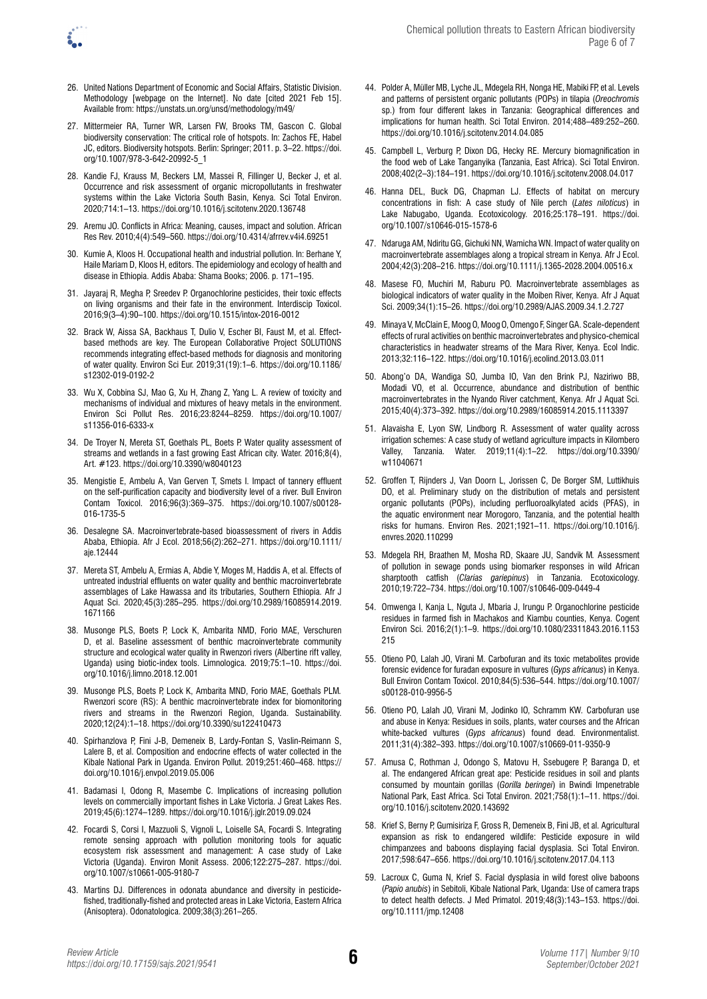- 26. United Nations Department of Economic and Social Affairs, Statistic Division. Methodology [webpage on the Internet]. No date [cited 2021 Feb 15]. Available from: <https://unstats.un.org/unsd/methodology/m49/>
- 27. Mittermeier RA, Turner WR, Larsen FW, Brooks TM, Gascon C. Global biodiversity conservation: The critical role of hotspots. In: Zachos FE, Habel JC, editors. Biodiversity hotspots. Berlin: Springer; 2011. p. 3–22. [https://doi.](https://doi.org/10.1007/978-3-642-20992-5_1) [org/10.1007/978-3-642-20992-5\\_1](https://doi.org/10.1007/978-3-642-20992-5_1)
- 28. Kandie FJ, Krauss M, Beckers LM, Massei R, Fillinger U, Becker J, et al. Occurrence and risk assessment of organic micropollutants in freshwater systems within the Lake Victoria South Basin, Kenya. Sci Total Environ. 2020;714:1–13.<https://doi.org/10.1016/j.scitotenv.2020.136748>
- 29. Aremu JO. Conflicts in Africa: Meaning, causes, impact and solution. African Res Rev. 2010;4(4):549–560.<https://doi.org/10.4314/afrrev.v4i4.69251>
- 30. Kumie A, Kloos H. Occupational health and industrial pollution. In: Berhane Y, Haile Mariam D, Kloos H, editors. The epidemiology and ecology of health and disease in Ethiopia. Addis Ababa: Shama Books; 2006. p. 171–195.
- 31. Jayaraj R, Megha P, Sreedev P. Organochlorine pesticides, their toxic effects on living organisms and their fate in the environment. Interdiscip Toxicol. 2016;9(3–4):90–100.<https://doi.org/10.1515/intox-2016-0012>
- 32. Brack W, Aissa SA, Backhaus T, Dulio V, Escher BI, Faust M, et al. Effectbased methods are key. The European Collaborative Project SOLUTIONS recommends integrating effect-based methods for diagnosis and monitoring of water quality. Environ Sci Eur. 2019;31(19):1–6. [https://doi.org/10.1186/](https://doi.org/10.1186/s12302-019-0192-2) [s12302-019-0192-2](https://doi.org/10.1186/s12302-019-0192-2)
- 33. Wu X, Cobbina SJ, Mao G, Xu H, Zhang Z, Yang L. A review of toxicity and mechanisms of individual and mixtures of heavy metals in the environment. Environ Sci Pollut Res. 2016;23:8244–8259. [https://doi.org/10.1007/](https://doi.org/10.1007/s11356-016-6333-x) [s11356-016-6333-x](https://doi.org/10.1007/s11356-016-6333-x)
- 34. De Troyer N, Mereta ST, Goethals PL, Boets P. Water quality assessment of streams and wetlands in a fast growing East African city. Water. 2016;8(4), Art. #123. <https://doi.org/10.3390/w8040123>
- 35. Mengistie E, Ambelu A, Van Gerven T, Smets I. Impact of tannery effluent on the self-purification capacity and biodiversity level of a river. Bull Environ Contam Toxicol. 2016;96(3):369–375. [https://doi.org/10.1007/s00128-](https://doi.org/10.1007/s00128-016-1735-5) [016-1735-5](https://doi.org/10.1007/s00128-016-1735-5)
- 36. Desalegne SA. Macroinvertebrate-based bioassessment of rivers in Addis Ababa, Ethiopia. Afr J Ecol. 2018;56(2):262–271. [https://doi.org/10.1111/](https://doi.org/10.1111/aje.12444) [aje.12444](https://doi.org/10.1111/aje.12444)
- 37. Mereta ST, Ambelu A, Ermias A, Abdie Y, Moges M, Haddis A, et al. Effects of untreated industrial effluents on water quality and benthic macroinvertebrate assemblages of Lake Hawassa and its tributaries, Southern Ethiopia. Afr J Aquat Sci. 2020;45(3):285–295. [https://doi.org/10.2989/16085914.2019.](https://doi.org/10.2989/16085914.2019.1671166) [1671166](https://doi.org/10.2989/16085914.2019.1671166)
- 38. Musonge PLS, Boets P, Lock K, Ambarita NMD, Forio MAE, Verschuren D, et al. Baseline assessment of benthic macroinvertebrate community structure and ecological water quality in Rwenzori rivers (Albertine rift valley, Uganda) using biotic-index tools. Limnologica. 2019;75:1–10. [https://doi.](https://doi.org/10.1016/j.limno.2018.12.001) [org/10.1016/j.limno.2018.12.001](https://doi.org/10.1016/j.limno.2018.12.001)
- 39. Musonge PLS, Boets P, Lock K, Ambarita MND, Forio MAE, Goethals PLM*.* Rwenzori score (RS): A benthic macroinvertebrate index for biomonitoring rivers and streams in the Rwenzori Region, Uganda. Sustainability. 2020;12(24):1–18. <https://doi.org/10.3390/su122410473>
- 40. Spirhanzlova P, Fini J-B, Demeneix B, Lardy-Fontan S, Vaslin-Reimann S, Lalere B, et al. Composition and endocrine effects of water collected in the Kibale National Park in Uganda. Environ Pollut. 2019;251:460–468. [https://](https://doi.org/10.1016/j.envpol.2019.05.006) [doi.org/10.1016/j.envpol.2019.05.006](https://doi.org/10.1016/j.envpol.2019.05.006)
- 41. Badamasi I, Odong R, Masembe C. Implications of increasing pollution levels on commercially important fishes in Lake Victoria. J Great Lakes Res. 2019;45(6):1274–1289. <https://doi.org/10.1016/j.jglr.2019.09.024>
- 42. Focardi S, Corsi I, Mazzuoli S, Vignoli L, Loiselle SA, Focardi S. Integrating remote sensing approach with pollution monitoring tools for aquatic ecosystem risk assessment and management: A case study of Lake Victoria (Uganda). Environ Monit Assess. 2006;122:275–287. [https://doi.](https://doi.org/10.1007/s10661-005-9180-7) [org/10.1007/s10661-005-9180-7](https://doi.org/10.1007/s10661-005-9180-7)
- 43. Martins DJ. Differences in odonata abundance and diversity in pesticidefished, traditionally-fished and protected areas in Lake Victoria, Eastern Africa (Anisoptera). Odonatologica. 2009;38(3):261–265.
- 44. Polder A, Müller MB, Lyche JL, Mdegela RH, Nonga HE, Mabiki FP, et al. Levels and patterns of persistent organic pollutants (POPs) in tilapia (*Oreochromis* sp.) from four different lakes in Tanzania: Geographical differences and implications for human health. Sci Total Environ. 2014;488–489:252–260. <https://doi.org/10.1016/j.scitotenv.2014.04.085>
- 45. Campbell L, Verburg P, Dixon DG, Hecky RE. Mercury biomagnification in the food web of Lake Tanganyika (Tanzania, East Africa). Sci Total Environ. 2008;402(2–3):184–191.<https://doi.org/10.1016/j.scitotenv.2008.04.017>
- 46. Hanna DEL, Buck DG, Chapman LJ. Effects of habitat on mercury concentrations in fish: A case study of Nile perch (*Lates niloticus*) in Lake Nabugabo, Uganda. Ecotoxicology. 2016;25:178–191. [https://doi.](https://doi.org/10.1007/s10646-015-1578-6) [org/10.1007/s10646-015-1578-6](https://doi.org/10.1007/s10646-015-1578-6)
- 47. Ndaruga AM, Ndiritu GG, Gichuki NN, Wamicha WN. Impact of water quality on macroinvertebrate assemblages along a tropical stream in Kenya. Afr J Ecol. 2004;42(3):208–216.<https://doi.org/10.1111/j.1365-2028.2004.00516.x>
- 48. Masese FO, Muchiri M, Raburu PO. Macroinvertebrate assemblages as biological indicators of water quality in the Moiben River, Kenya. Afr J Aquat Sci. 2009;34(1):15–26.<https://doi.org/10.2989/AJAS.2009.34.1.2.727>
- 49. Minaya V, McClain E, Moog O, Moog O, Omengo F, Singer GA. Scale-dependent effects of rural activities on benthic macroinvertebrates and physico-chemical characteristics in headwater streams of the Mara River, Kenya. Ecol Indic. 2013;32:116–122. <https://doi.org/10.1016/j.ecolind.2013.03.011>
- 50. Abong'o DA, Wandiga SO, Jumba IO, Van den Brink PJ, Naziriwo BB, Modadi VO, et al. Occurrence, abundance and distribution of benthic macroinvertebrates in the Nyando River catchment, Kenya. Afr J Aquat Sci. 2015;40(4):373–392.<https://doi.org/10.2989/16085914.2015.1113397>
- 51. Alavaisha E, Lyon SW, Lindborg R. Assessment of water quality across irrigation schemes: A case study of wetland agriculture impacts in Kilombero Valley, Tanzania. Water. 2019;11(4):1–22. [https://doi.org/10.3390/](https://doi.org/10.3390/w11040671) [w11040671](https://doi.org/10.3390/w11040671)
- 52. Groffen T, Rijnders J, Van Doorn L, Jorissen C, De Borger SM, Luttikhuis DO, et al. Preliminary study on the distribution of metals and persistent organic pollutants (POPs), including perfluoroalkylated acids (PFAS), in the aquatic environment near Morogoro, Tanzania, and the potential health risks for humans. Environ Res. 2021;1921–11. [https://doi.org/10.1016/j.](https://doi.org/10.1016/j.envres.2020.110299) [envres.2020.110299](https://doi.org/10.1016/j.envres.2020.110299)
- 53. Mdegela RH, Braathen M, Mosha RD, Skaare JU, Sandvik M*.* Assessment of pollution in sewage ponds using biomarker responses in wild African sharptooth catfish (*Clarias gariepinus*) in Tanzania. Ecotoxicology. 2010;19:722–734. <https://doi.org/10.1007/s10646-009-0449-4>
- 54. Omwenga I, Kanja L, Nguta J, Mbaria J, Irungu P. Organochlorine pesticide residues in farmed fish in Machakos and Kiambu counties, Kenya. Cogent Environ Sci. 2016;2(1):1–9. [https://doi.org/10.1080/23311843.2016.1153](https://doi.org/10.1080/23311843.2016.1153215) [215](https://doi.org/10.1080/23311843.2016.1153215)
- 55. Otieno PO, Lalah JO, Virani M. Carbofuran and its toxic metabolites provide forensic evidence for furadan exposure in vultures (*Gyps africanus*) in Kenya. Bull Environ Contam Toxicol. 2010;84(5):536–544. [https://doi.org/10.1007/](https://doi.org/10.1007/s00128-010-9956-5) [s00128-010-9956-5](https://doi.org/10.1007/s00128-010-9956-5)
- 56. Otieno PO, Lalah JO, Virani M, Jodinko IO, Schramm KW*.* Carbofuran use and abuse in Kenya: Residues in soils, plants, water courses and the African white-backed vultures (*Gyps africanus*) found dead. Environmentalist. 2011;31(4):382–393.<https://doi.org/10.1007/s10669-011-9350-9>
- 57. Amusa C, Rothman J, Odongo S, Matovu H, Ssebugere P, Baranga D, et al. The endangered African great ape: Pesticide residues in soil and plants consumed by mountain gorillas (*Gorilla beringei*) in Bwindi Impenetrable National Park, East Africa. Sci Total Environ. 2021;758(1):1–11. [https://doi.](https://doi.org/10.1016/j.scitotenv.2020.143692) [org/10.1016/j.scitotenv.2020.143692](https://doi.org/10.1016/j.scitotenv.2020.143692)
- 58. Krief S, Berny P, Gumisiriza F, Gross R, Demeneix B, Fini JB, et al. Agricultural expansion as risk to endangered wildlife: Pesticide exposure in wild chimpanzees and baboons displaying facial dysplasia. Sci Total Environ. 2017;598:647–656.<https://doi.org/10.1016/j.scitotenv.2017.04.113>
- 59. Lacroux C, Guma N, Krief S. Facial dysplasia in wild forest olive baboons (*Papio anubis*) in Sebitoli, Kibale National Park, Uganda: Use of camera traps to detect health defects. J Med Primatol. 2019;48(3):143–153. [https://doi.](https://doi.org/10.1111/jmp.12408) [org/10.1111/jmp.12408](https://doi.org/10.1111/jmp.12408)